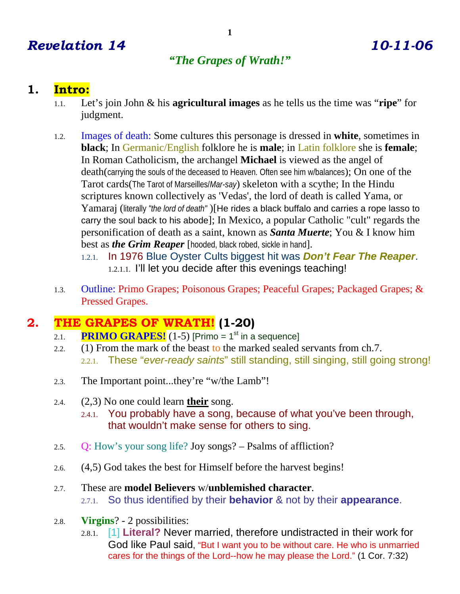# *Revelation 14 10-11-06*

# *"The Grapes of Wrath!"*

# **1. Intro:**

- 1.1. Let's join John & his **agricultural images** as he tells us the time was "**ripe**" for judgment.
- 1.2. Images of death: Some cultures this personage is dressed in **white**, sometimes in **black**; In Germanic/English folklore he is **male**; in Latin folklore she is **female**; In Roman Catholicism, the archangel **Michael** is viewed as the angel of death(carrying the souls of the deceased to Heaven. Often see him w/balances); On one of the Tarot cards(The Tarot of Marseilles/*Mar-say*) skeleton with a scythe; In the Hindu scriptures known collectively as 'Vedas', the lord of death is called Yama, or Yamaraj (literally *"the lord of death"* )[He rides a black buffalo and carries a rope lasso to carry the soul back to his abode]; In Mexico, a popular Catholic "cult" regards the personification of death as a saint, known as *Santa Muerte*; You & I know him best as *the Grim Reaper* [hooded, black robed, sickle in hand].
	- 1.2.1. In 1976 Blue Oyster Cults biggest hit was *Don't Fear The Reaper*. 1.2.1.1. I'll let you decide after this evenings teaching!
- 1.3. Outline: Primo Grapes; Poisonous Grapes; Peaceful Grapes; Packaged Grapes; & Pressed Grapes.

# **2. THE GRAPES OF WRATH! (1-20)**

- 2.1. **PRIMO GRAPES!**  $(1-5)$  [Primo = 1<sup>st</sup> in a sequence]
- 2.2. (1) From the mark of the beast to the marked sealed servants from ch.7. 2.2.1. These "*ever-ready saints*" still standing, still singing, still going strong!
- 2.3. The Important point...they're "w/the Lamb"!
- 2.4. (2,3) No one could learn **their** song.
	- 2.4.1. You probably have a song, because of what you've been through, that wouldn't make sense for others to sing.
- 2.5. Q: How's your song life? Joy songs? Psalms of affliction?
- 2.6. (4,5) God takes the best for Himself before the harvest begins!
- 2.7. These are **model Believers** w/**unblemished character**. 2.7.1. So thus identified by their **behavior** & not by their **appearance**.
- 2.8. **Virgins**? 2 possibilities:
	- 2.8.1. [1] **Literal?** Never married, therefore undistracted in their work for God like Paul said, "But I want you to be without care. He who is unmarried cares for the things of the Lord--how he may please the Lord." (1 Cor. 7:32)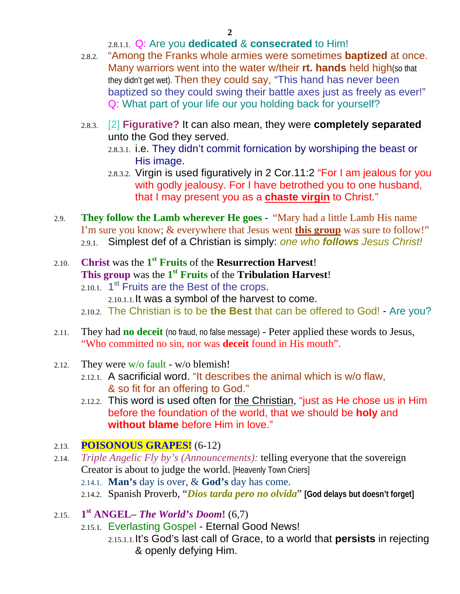#### 2.8.1.1. Q: Are you **dedicated** & **consecrated** to Him!

- 2.8.2. "Among the Franks whole armies were sometimes **baptized** at once. Many warriors went into the water w/their **rt. hands** held high(so that they didn't get wet). Then they could say, "This hand has never been baptized so they could swing their battle axes just as freely as ever!" Q: What part of your life our you holding back for yourself?
- 2.8.3. [2] **Figurative?** It can also mean, they were **completely separated** unto the God they served.
	- 2.8.3.1. i.e. They didn't commit fornication by worshiping the beast or His image.
	- 2.8.3.2. Virgin is used figuratively in 2 Cor.11:2 "For I am jealous for you with godly jealousy. For I have betrothed you to one husband, that I may present you as a **chaste virgin** to Christ."
- 2.9. **They follow the Lamb wherever He goes** "Mary had a little Lamb His name I'm sure you know; & everywhere that Jesus went **this group** was sure to follow!" 2.9.1. Simplest def of a Christian is simply: *one who follows Jesus Christ!*

## 2.10. **Christ** was the **1st Fruits** of the **Resurrection Harvest**! **This group** was the **1st Fruits** of the **Tribulation Harvest**!

- $2.10.1$ .  $1<sup>st</sup>$  Fruits are the Best of the crops.
	- 2.10.1.1.It was a symbol of the harvest to come.
- 2.10.2. The Christian is to be **the Best** that can be offered to God! Are you?
- 2.11. They had **no deceit** (no fraud, no false message) Peter applied these words to Jesus, "Who committed no sin, nor was **deceit** found in His mouth".
- 2.12. They were w/o fault w/o blemish!
	- 2.12.1. A sacrificial word. "It describes the animal which is w/o flaw, & so fit for an offering to God."
	- 2.12.2. This word is used often for the Christian, "just as He chose us in Him before the foundation of the world, that we should be **holy** and **without blame** before Him in love."

#### 2.13. **POISONOUS GRAPES!** (6-12)

- 2.14. *Triple Angelic Fly by's (Announcements):* telling everyone that the sovereign Creator is about to judge the world. [Heavenly Town Criers]
	- 2.14.1. **Man's** day is over, & **God's** day has come.
	- 2.14.2. Spanish Proverb, "*Dios tarda pero no olvida*" **[God delays but doesn't forget]**

## 2.15. **1st ANGEL–** *The World's Doom***!** (6,7)

- 2.15.1. Everlasting Gospel Eternal Good News!
	- 2.15.1.1.It's God's last call of Grace, to a world that **persists** in rejecting & openly defying Him.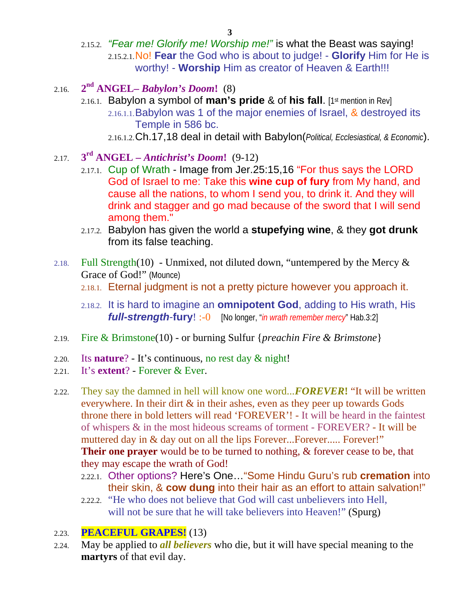**3** 

- 2.15.2. *"Fear me! Glorify me! Worship me!"* is what the Beast was saying! 2.15.2.1.No! **Fear** the God who is about to judge! - **Glorify** Him for He is worthy! - **Worship** Him as creator of Heaven & Earth!!!
- 2.16. **2nd ANGEL–** *Babylon's Doom***!** (8)
	- 2.16.1. Babylon a symbol of **man's pride** & of **his fall**. [1st mention in Rev] 2.16.1.1.Babylon was 1 of the major enemies of Israel, & destroyed its Temple in 586 bc.
		- 2.16.1.2.Ch.17,18 deal in detail with Babylon(*Political, Ecclesiastical, & Economic*).
- 2.17. **3rd ANGEL** *Antichrist's Doom***!** (9-12)
	- 2.17.1. Cup of Wrath Image from Jer.25:15,16 "For thus says the LORD God of Israel to me: Take this **wine cup of fury** from My hand, and cause all the nations, to whom I send you, to drink it. And they will drink and stagger and go mad because of the sword that I will send among them."
	- 2.17.2. Babylon has given the world a **stupefying wine**, & they **got drunk**  from its false teaching.
- 2.18. Full Strength(10) Unmixed, not diluted down, "untempered by the Mercy  $\&$ Grace of God!" (Mounce)
	- 2.18.1. Eternal judgment is not a pretty picture however you approach it.
	- 2.18.2. It is hard to imagine an **omnipotent God**, adding to His wrath, His *full-strength*-**fury**! :-0 [No longer, "*in wrath remember mercy*" Hab.3:2]
- 2.19. Fire & Brimstone(10) or burning Sulfur {*preachin Fire & Brimstone*}
- 2.20. Its **nature**? It's continuous, no rest day & night!
- 2.21. It's **extent**? Forever & Ever.
- 2.22. They say the damned in hell will know one word...*FOREVER***!** "It will be written everywhere. In their dirt & in their ashes, even as they peer up towards Gods throne there in bold letters will read 'FOREVER'! - It will be heard in the faintest of whispers & in the most hideous screams of torment - FOREVER? - It will be muttered day in & day out on all the lips Forever....Forever..... Forever!" **Their one prayer** would be to be turned to nothing, & forever cease to be, that they may escape the wrath of God!
	- 2.22.1. Other options? Here's One…"Some Hindu Guru's rub **cremation** into their skin, & **cow dung** into their hair as an effort to attain salvation!"
	- 2.22.2. "He who does not believe that God will cast unbelievers into Hell, will not be sure that he will take believers into Heaven!" (Spurg)

#### 2.23. **PEACEFUL GRAPES!** (13)

2.24. May be applied to *all believers* who die, but it will have special meaning to the **martyrs** of that evil day.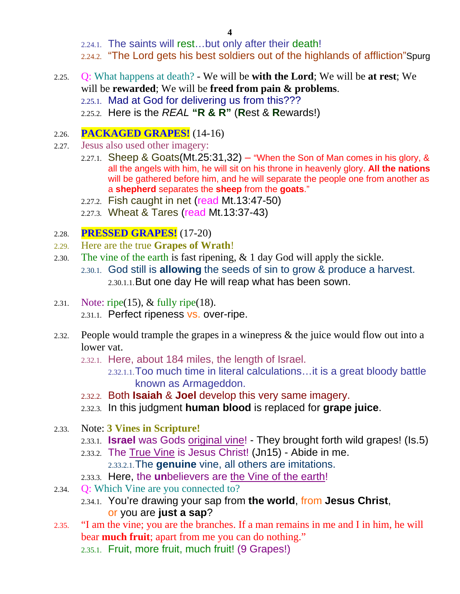2.24.1. The saints will rest…but only after their death!

2.24.2. "The Lord gets his best soldiers out of the highlands of affliction"Spurg

- 2.25. Q: What happens at death? We will be **with the Lord**; We will be **at rest**; We will be **rewarded**; We will be **freed from pain & problems**.
	- 2.25.1. Mad at God for delivering us from this???
	- 2.25.2. Here is the *REAL* **"R & R"** (**R**est & **R**ewards!)

#### 2.26. **PACKAGED GRAPES!** (14-16)

- 2.27. Jesus also used other imagery:
	- 2.27.1. Sheep & Goats(Mt.25:31,32) "When the Son of Man comes in his glory,  $\&$ all the angels with him, he will sit on his throne in heavenly glory. **All the nations** will be gathered before him, and he will separate the people one from another as a **shepherd** separates the **sheep** from the **goats**."
	- 2.27.2. Fish caught in net (read Mt.13:47-50)
	- 2.27.3. Wheat & Tares (read Mt.13:37-43)

#### 2.28. **PRESSED GRAPES!** (17-20)

- 2.29. Here are the true **Grapes of Wrath**!
- 2.30. The vine of the earth is fast ripening, & 1 day God will apply the sickle. 2.30.1. God still is **allowing** the seeds of sin to grow & produce a harvest. 2.30.1.1.But one day He will reap what has been sown.
- 2.31. Note: ripe(15),  $&$  fully ripe(18). 2.31.1. Perfect ripeness vs. over-ripe.
- 2.32. People would trample the grapes in a winepress & the juice would flow out into a lower vat.
	- 2.32.1. Here, about 184 miles, the length of Israel.
		- 2.32.1.1.Too much time in literal calculations…it is a great bloody battle known as Armageddon.
	- 2.32.2. Both **Isaiah** & **Joel** develop this very same imagery.
	- 2.32.3. In this judgment **human blood** is replaced for **grape juice**.
- 2.33. Note: **3 Vines in Scripture!**
	- 2.33.1. **Israel** was Gods original vine! They brought forth wild grapes! (Is.5)
	- 2.33.2. The True Vine is Jesus Christ! (Jn15) Abide in me. 2.33.2.1.The **genuine** vine, all others are imitations.
	- 2.33.3. Here, the **un**believers are the Vine of the earth!
- 2.34. Q: Which Vine are you connected to?
	- 2.34.1. You're drawing your sap from **the world**, from **Jesus Christ**, or you are **just a sap**?
- 2.35. "I am the vine; you are the branches. If a man remains in me and I in him, he will bear **much fruit**; apart from me you can do nothing."
	- 2.35.1. Fruit, more fruit, much fruit! (9 Grapes!)